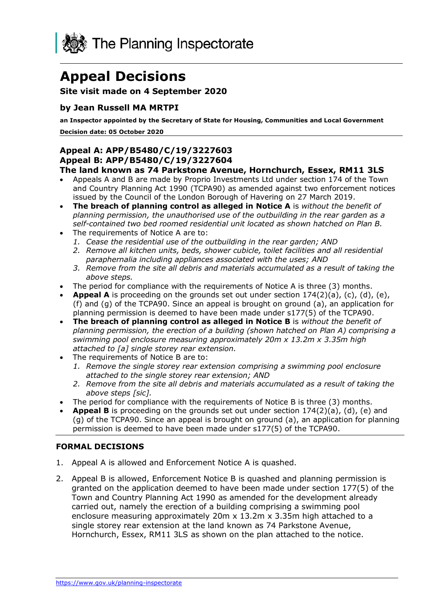

# **Appeal Decisions**

# **Site visit made on 4 September 2020**

#### **by Jean Russell MA MRTPI**

 **Decision date: 05 October 2020 an Inspector appointed by the Secretary of State for Housing, Communities and Local Government** 

# **Appeal A: APP/B5480/C/19/3227603 Appeal B: APP/B5480/C/19/3227604**

#### **The land known as 74 Parkstone Avenue, Hornchurch, Essex, RM11 3LS**

- • Appeals A and B are made by Proprio Investments Ltd under section 174 of the Town and Country Planning Act 1990 (TCPA90) as amended against two enforcement notices issued by the Council of the London Borough of Havering on 27 March 2019.
- **The breach of planning control as alleged in Notice A** is *without the benefit of planning permission, the unauthorised use of the outbuilding in the rear garden as a self-contained two bed roomed residential unit located as shown hatched on Plan B.*
- The requirements of Notice A are to:
	- *1. Cease the residential use of the outbuilding in the rear garden; AND*
	- *2. Remove all kitchen units, beds, shower cubicle, toilet facilities and all residential paraphernalia including appliances associated with the uses; AND*
	- *3. Remove from the site all debris and materials accumulated as a result of taking the above steps.*
- The period for compliance with the requirements of Notice A is three (3) months.
- • **Appeal A** is proceeding on the grounds set out under section 174(2)(a), (c), (d), (e), (f) and (g) of the TCPA90. Since an appeal is brought on ground (a), an application for planning permission is deemed to have been made under s177(5) of the TCPA90.
- **The breach of planning control as alleged in Notice B** is *without the benefit of planning permission, the erection of a building (shown hatched on Plan A) comprising a swimming pool enclosure measuring approximately 20m x 13.2m x 3.35m high attached to [a] single storey rear extension.*
- The requirements of Notice B are to:
	- *1. Remove the single storey rear extension comprising a swimming pool enclosure attached to the single storey rear extension; AND*
	- *2. Remove from the site all debris and materials accumulated as a result of taking the above steps [sic].*
- The period for compliance with the requirements of Notice B is three (3) months.
- • **Appeal B** is proceeding on the grounds set out under section 174(2)(a), (d), (e) and (g) of the TCPA90. Since an appeal is brought on ground (a), an application for planning permission is deemed to have been made under s177(5) of the TCPA90.

#### **FORMAL DECISIONS**

- 1. Appeal A is allowed and Enforcement Notice A is quashed.
- 2. Appeal B is allowed, Enforcement Notice B is quashed and planning permission is granted on the application deemed to have been made under section 177(5) of the Town and Country Planning Act 1990 as amended for the development already carried out, namely the erection of a building comprising a swimming pool enclosure measuring approximately 20m x 13.2m x 3.35m high attached to a single storey rear extension at the land known as 74 Parkstone Avenue, Hornchurch, Essex, RM11 3LS as shown on the plan attached to the notice.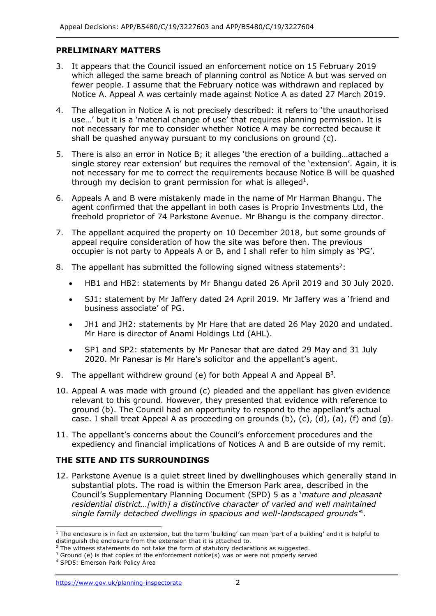# **PRELIMINARY MATTERS**

- 3. It appears that the Council issued an enforcement notice on 15 February 2019 which alleged the same breach of planning control as Notice A but was served on fewer people. I assume that the February notice was withdrawn and replaced by Notice A. Appeal A was certainly made against Notice A as dated 27 March 2019.
- 4. The allegation in Notice A is not precisely described: it refers to 'the unauthorised use…' but it is a 'material change of use' that requires planning permission. It is not necessary for me to consider whether Notice A may be corrected because it shall be quashed anyway pursuant to my conclusions on ground (c).
- 5. There is also an error in Notice B; it alleges 'the erection of a building…attached a single storey rear extension' but requires the removal of the 'extension'. Again, it is not necessary for me to correct the requirements because Notice B will be quashed through my decision to grant permission for what is alleged<sup>1</sup>.
- 6. Appeals A and B were mistakenly made in the name of Mr Harman Bhangu. The agent confirmed that the appellant in both cases is Proprio Investments Ltd, the freehold proprietor of 74 Parkstone Avenue. Mr Bhangu is the company director.
- 7. The appellant acquired the property on 10 December 2018, but some grounds of appeal require consideration of how the site was before then. The previous occupier is not party to Appeals A or B, and I shall refer to him simply as 'PG'.
- 8. The appellant has submitted the following signed witness statements<sup>2</sup>:
	- HB1 and HB2: statements by Mr Bhangu dated 26 April 2019 and 30 July 2020.
	- • SJ1: statement by Mr Jaffery dated 24 April 2019. Mr Jaffery was a 'friend and business associate' of PG.
	- • JH1 and JH2: statements by Mr Hare that are dated 26 May 2020 and undated. Mr Hare is director of Anami Holdings Ltd (AHL).
	- • SP1 and SP2: statements by Mr Panesar that are dated 29 May and 31 July 2020. Mr Panesar is Mr Hare's solicitor and the appellant's agent.
- 9. The appellant withdrew ground (e) for both Appeal A and Appeal  $B^3$ .
- 10. Appeal A was made with ground (c) pleaded and the appellant has given evidence relevant to this ground. However, they presented that evidence with reference to ground (b). The Council had an opportunity to respond to the appellant's actual case. I shall treat Appeal A as proceeding on grounds  $(b)$ ,  $(c)$ ,  $(d)$ ,  $(a)$ ,  $(f)$  and  $(g)$ .
- 11. The appellant's concerns about the Council's enforcement procedures and the expediency and financial implications of Notices A and B are outside of my remit.

# **THE SITE AND ITS SURROUNDINGS**

 12. Parkstone Avenue is a quiet street lined by dwellinghouses which generally stand in substantial plots. The road is within the Emerson Park area, described in the Council's Supplementary Planning Document (SPD) 5 as a '*mature and pleasant residential district…[with] a distinctive character of varied and well maintained single family detached dwellings in spacious and well-landscaped grounds'*4.

 $1$  The enclosure is in fact an extension, but the term 'building' can mean 'part of a building' and it is helpful to distinguish the enclosure from the extension that it is attached to.

 $2$  The witness statements do not take the form of statutory declarations as suggested. <sup>2</sup> The witness statements do not take the form of statutory declarations as suggested.<br><sup>3</sup> Ground (e) is that copies of the enforcement notice(s) was or were not properly served

 4 SPD5: Emerson Park Policy Area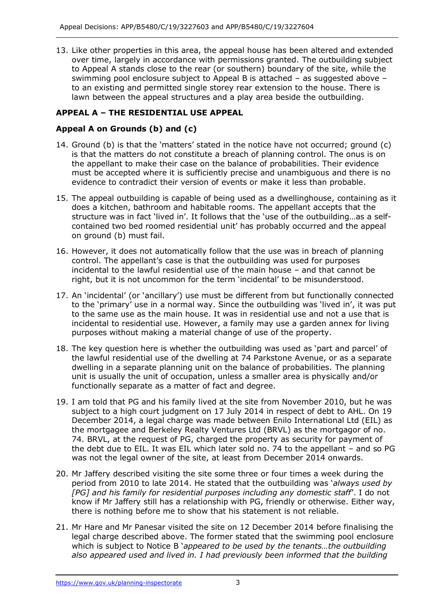13. Like other properties in this area, the appeal house has been altered and extended over time, largely in accordance with permissions granted. The outbuilding subject to Appeal A stands close to the rear (or southern) boundary of the site, while the swimming pool enclosure subject to Appeal B is attached – as suggested above – to an existing and permitted single storey rear extension to the house. There is lawn between the appeal structures and a play area beside the outbuilding.

# **APPEAL A – THE RESIDENTIAL USE APPEAL**

# **Appeal A on Grounds (b) and (c)**

- 14. Ground (b) is that the 'matters' stated in the notice have not occurred; ground (c) is that the matters do not constitute a breach of planning control. The onus is on the appellant to make their case on the balance of probabilities. Their evidence must be accepted where it is sufficiently precise and unambiguous and there is no evidence to contradict their version of events or make it less than probable.
- 15. The appeal outbuilding is capable of being used as a dwellinghouse, containing as it does a kitchen, bathroom and habitable rooms. The appellant accepts that the structure was in fact 'lived in'. It follows that the 'use of the outbuilding…as a self- contained two bed roomed residential unit' has probably occurred and the appeal on ground (b) must fail.
- 16. However, it does not automatically follow that the use was in breach of planning control. The appellant's case is that the outbuilding was used for purposes incidental to the lawful residential use of the main house – and that cannot be right, but it is not uncommon for the term 'incidental' to be misunderstood.
- 17. An 'incidental' (or 'ancillary') use must be different from but functionally connected to the 'primary' use in a normal way. Since the outbuilding was 'lived in', it was put to the same use as the main house. It was in residential use and not a use that is incidental to residential use. However, a family may use a garden annex for living purposes without making a material change of use of the property.
- 18. The key question here is whether the outbuilding was used as 'part and parcel' of the lawful residential use of the dwelling at 74 Parkstone Avenue, or as a separate dwelling in a separate planning unit on the balance of probabilities. The planning unit is usually the unit of occupation, unless a smaller area is physically and/or functionally separate as a matter of fact and degree.
- 19. I am told that PG and his family lived at the site from November 2010, but he was subject to a high court judgment on 17 July 2014 in respect of debt to AHL. On 19 December 2014, a legal charge was made between Enilo International Ltd (EIL) as the mortgagee and Berkeley Realty Ventures Ltd (BRVL) as the mortgagor of no. 74. BRVL, at the request of PG, charged the property as security for payment of the debt due to EIL. It was EIL which later sold no. 74 to the appellant – and so PG was not the legal owner of the site, at least from December 2014 onwards.
- 20. Mr Jaffery described visiting the site some three or four times a week during the period from 2010 to late 2014. He stated that the outbuilding was '*always used by [PG] and his family for residential purposes including any domestic staff*'. I do not know if Mr Jaffery still has a relationship with PG, friendly or otherwise. Either way, there is nothing before me to show that his statement is not reliable.
- 21. Mr Hare and Mr Panesar visited the site on 12 December 2014 before finalising the legal charge described above. The former stated that the swimming pool enclosure which is subject to Notice B '*appeared to be used by the tenants…the outbuilding also appeared used and lived in. I had previously been informed that the building*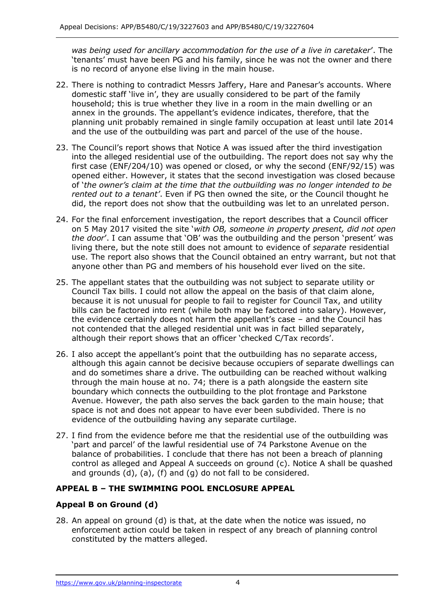*was being used for ancillary accommodation for the use of a live in caretaker*'. The 'tenants' must have been PG and his family, since he was not the owner and there is no record of anyone else living in the main house.

- 22. There is nothing to contradict Messrs Jaffery, Hare and Panesar's accounts. Where domestic staff 'live in', they are usually considered to be part of the family household; this is true whether they live in a room in the main dwelling or an annex in the grounds. The appellant's evidence indicates, therefore, that the planning unit probably remained in single family occupation at least until late 2014 and the use of the outbuilding was part and parcel of the use of the house.
- 23. The Council's report shows that Notice A was issued after the third investigation into the alleged residential use of the outbuilding. The report does not say why the first case (ENF/204/10) was opened or closed, or why the second (ENF/92/15) was opened either. However, it states that the second investigation was closed because  of '*the owner's claim at the time that the outbuilding was no longer intended to be rented out to a tenant'*. Even if PG then owned the site, or the Council thought he did, the report does not show that the outbuilding was let to an unrelated person.
- 24. For the final enforcement investigation, the report describes that a Council officer on 5 May 2017 visited the site '*with OB, someone in property present, did not open the door*'. I can assume that 'OB' was the outbuilding and the person 'present' was living there, but the note still does not amount to evidence of *separate* residential use. The report also shows that the Council obtained an entry warrant, but not that anyone other than PG and members of his household ever lived on the site.
- 25. The appellant states that the outbuilding was not subject to separate utility or Council Tax bills. I could not allow the appeal on the basis of that claim alone, because it is not unusual for people to fail to register for Council Tax, and utility bills can be factored into rent (while both may be factored into salary). However, the evidence certainly does not harm the appellant's case – and the Council has not contended that the alleged residential unit was in fact billed separately, although their report shows that an officer 'checked C/Tax records'.
- 26. I also accept the appellant's point that the outbuilding has no separate access, although this again cannot be decisive because occupiers of separate dwellings can and do sometimes share a drive. The outbuilding can be reached without walking through the main house at no. 74; there is a path alongside the eastern site boundary which connects the outbuilding to the plot frontage and Parkstone Avenue. However, the path also serves the back garden to the main house; that space is not and does not appear to have ever been subdivided. There is no evidence of the outbuilding having any separate curtilage.
- 27. I find from the evidence before me that the residential use of the outbuilding was 'part and parcel' of the lawful residential use of 74 Parkstone Avenue on the balance of probabilities. I conclude that there has not been a breach of planning control as alleged and Appeal A succeeds on ground (c). Notice A shall be quashed and grounds (d), (a), (f) and (g) do not fall to be considered.

# **APPEAL B – THE SWIMMING POOL ENCLOSURE APPEAL**

# **Appeal B on Ground (d)**

 28. An appeal on ground (d) is that, at the date when the notice was issued, no enforcement action could be taken in respect of any breach of planning control constituted by the matters alleged.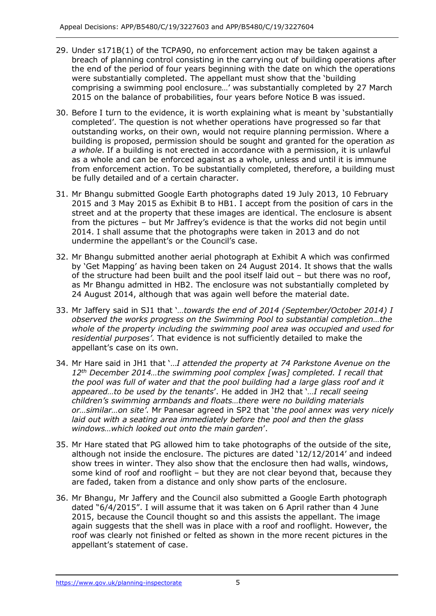- 29. Under s171B(1) of the TCPA90, no enforcement action may be taken against a breach of planning control consisting in the carrying out of building operations after the end of the period of four years beginning with the date on which the operations were substantially completed. The appellant must show that the 'building comprising a swimming pool enclosure…' was substantially completed by 27 March 2015 on the balance of probabilities, four years before Notice B was issued.
- 30. Before I turn to the evidence, it is worth explaining what is meant by 'substantially completed'. The question is not whether operations have progressed so far that outstanding works, on their own, would not require planning permission. Where a building is proposed, permission should be sought and granted for the operation *as a whole*. If a building is not erected in accordance with a permission, it is unlawful as a whole and can be enforced against as a whole, unless and until it is immune from enforcement action. To be substantially completed, therefore, a building must be fully detailed and of a certain character.
- 31. Mr Bhangu submitted Google Earth photographs dated 19 July 2013, 10 February 2015 and 3 May 2015 as Exhibit B to HB1. I accept from the position of cars in the street and at the property that these images are identical. The enclosure is absent from the pictures – but Mr Jaffrey's evidence is that the works did not begin until 2014. I shall assume that the photographs were taken in 2013 and do not undermine the appellant's or the Council's case.
- 32. Mr Bhangu submitted another aerial photograph at Exhibit A which was confirmed by 'Get Mapping' as having been taken on 24 August 2014. It shows that the walls of the structure had been built and the pool itself laid out – but there was no roof, as Mr Bhangu admitted in HB2. The enclosure was not substantially completed by 24 August 2014, although that was again well before the material date.
- 33. Mr Jaffery said in SJ1 that '*…towards the end of 2014 (September/October 2014) I observed the works progress on the Swimming Pool to substantial completion…the whole of the property including the swimming pool area was occupied and used for residential purposes'*. That evidence is not sufficiently detailed to make the appellant's case on its own.
- 34. Mr Hare said in JH1 that '…*I attended the property at 74 Parkstone Avenue on the 12th December 2014…the swimming pool complex [was] completed. I recall that the pool was full of water and that the pool building had a large glass roof and it appeared…to be used by the tenants*'. He added in JH2 that '*…I recall seeing children's swimming armbands and floats…there were no building materials or…similar…on site'*. Mr Panesar agreed in SP2 that '*the pool annex was very nicely laid out with a seating area immediately before the pool and then the glass windows…which looked out onto the main garden*'.
- 35. Mr Hare stated that PG allowed him to take photographs of the outside of the site, although not inside the enclosure. The pictures are dated '12/12/2014' and indeed show trees in winter. They also show that the enclosure then had walls, windows, some kind of roof and rooflight – but they are not clear beyond that, because they are faded, taken from a distance and only show parts of the enclosure.
- 36. Mr Bhangu, Mr Jaffery and the Council also submitted a Google Earth photograph dated "6/4/2015". I will assume that it was taken on 6 April rather than 4 June 2015, because the Council thought so and this assists the appellant. The image again suggests that the shell was in place with a roof and rooflight. However, the roof was clearly not finished or felted as shown in the more recent pictures in the appellant's statement of case.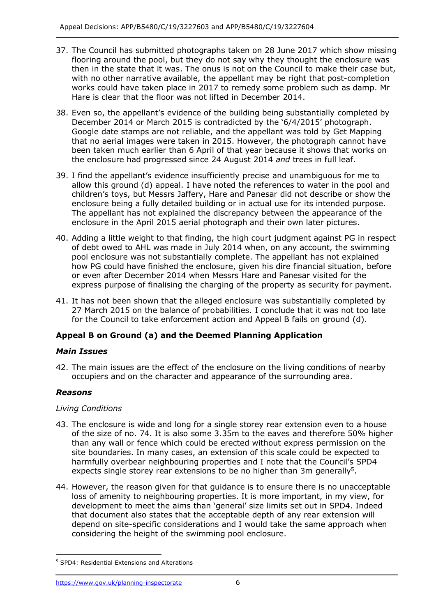- 37. The Council has submitted photographs taken on 28 June 2017 which show missing flooring around the pool, but they do not say why they thought the enclosure was then in the state that it was. The onus is not on the Council to make their case but, with no other narrative available, the appellant may be right that post-completion works could have taken place in 2017 to remedy some problem such as damp. Mr Hare is clear that the floor was not lifted in December 2014.
- December 2014 or March 2015 is contradicted by the '6/4/2015' photograph. Google date stamps are not reliable, and the appellant was told by Get Mapping that no aerial images were taken in 2015. However, the photograph cannot have been taken much earlier than 6 April of that year because it shows that works on the enclosure had progressed since 24 August 2014 *and* trees in full leaf. 38. Even so, the appellant's evidence of the building being substantially completed by
- 39. I find the appellant's evidence insufficiently precise and unambiguous for me to allow this ground (d) appeal. I have noted the references to water in the pool and children's toys, but Messrs Jaffery, Hare and Panesar did not describe or show the enclosure being a fully detailed building or in actual use for its intended purpose. The appellant has not explained the discrepancy between the appearance of the enclosure in the April 2015 aerial photograph and their own later pictures.
- 40. Adding a little weight to that finding, the high court judgment against PG in respect of debt owed to AHL was made in July 2014 when, on any account, the swimming pool enclosure was not substantially complete. The appellant has not explained how PG could have finished the enclosure, given his dire financial situation, before or even after December 2014 when Messrs Hare and Panesar visited for the express purpose of finalising the charging of the property as security for payment.
- 41. It has not been shown that the alleged enclosure was substantially completed by 27 March 2015 on the balance of probabilities. I conclude that it was not too late for the Council to take enforcement action and Appeal B fails on ground (d).

# **Appeal B on Ground (a) and the Deemed Planning Application**

# *Main Issues*

 42. The main issues are the effect of the enclosure on the living conditions of nearby occupiers and on the character and appearance of the surrounding area.

# *Reasons*

# *Living Conditions*

- 43. The enclosure is wide and long for a single storey rear extension even to a house of the size of no. 74. It is also some 3.35m to the eaves and therefore 50% higher than any wall or fence which could be erected without express permission on the site boundaries. In many cases, an extension of this scale could be expected to harmfully overbear neighbouring properties and I note that the Council's SPD4 expects single storey rear extensions to be no higher than 3m generally<sup>5</sup>.
- 44. However, the reason given for that guidance is to ensure there is no unacceptable loss of amenity to neighbouring properties. It is more important, in my view, for development to meet the aims than 'general' size limits set out in SPD4. Indeed that document also states that the acceptable depth of any rear extension will depend on site-specific considerations and I would take the same approach when considering the height of the swimming pool enclosure.

 5 SPD4: Residential Extensions and Alterations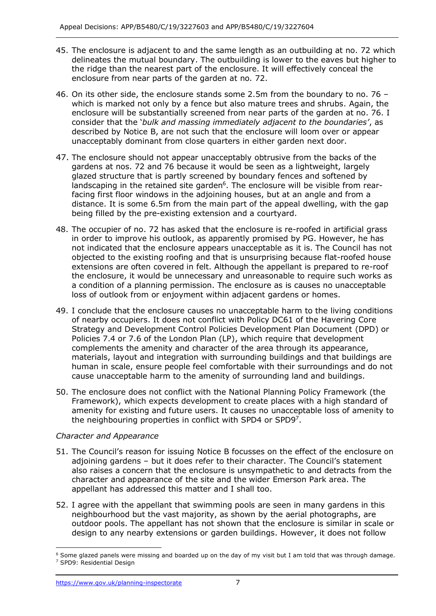- 45. The enclosure is adjacent to and the same length as an outbuilding at no. 72 which delineates the mutual boundary. The outbuilding is lower to the eaves but higher to the ridge than the nearest part of the enclosure. It will effectively conceal the enclosure from near parts of the garden at no. 72.
- 46. On its other side, the enclosure stands some 2.5m from the boundary to no. 76 which is marked not only by a fence but also mature trees and shrubs. Again, the enclosure will be substantially screened from near parts of the garden at no. 76. I consider that the '*bulk and massing immediately adjacent to the boundaries'*, as described by Notice B, are not such that the enclosure will loom over or appear unacceptably dominant from close quarters in either garden next door.
- 47. The enclosure should not appear unacceptably obtrusive from the backs of the gardens at nos. 72 and 76 because it would be seen as a lightweight, largely glazed structure that is partly screened by boundary fences and softened by landscaping in the retained site garden $6$ . The enclosure will be visible from rear- facing first floor windows in the adjoining houses, but at an angle and from a distance. It is some 6.5m from the main part of the appeal dwelling, with the gap being filled by the pre-existing extension and a courtyard.
- 48. The occupier of no. 72 has asked that the enclosure is re-roofed in artificial grass in order to improve his outlook, as apparently promised by PG. However, he has not indicated that the enclosure appears unacceptable as it is. The Council has not objected to the existing roofing and that is unsurprising because flat-roofed house extensions are often covered in felt. Although the appellant is prepared to re-roof the enclosure, it would be unnecessary and unreasonable to require such works as a condition of a planning permission. The enclosure as is causes no unacceptable loss of outlook from or enjoyment within adjacent gardens or homes.
- 49. I conclude that the enclosure causes no unacceptable harm to the living conditions of nearby occupiers. It does not conflict with Policy DC61 of the Havering Core Strategy and Development Control Policies Development Plan Document (DPD) or Policies 7.4 or 7.6 of the London Plan (LP), which require that development complements the amenity and character of the area through its appearance, materials, layout and integration with surrounding buildings and that buildings are human in scale, ensure people feel comfortable with their surroundings and do not cause unacceptable harm to the amenity of surrounding land and buildings.
- 50. The enclosure does not conflict with the National Planning Policy Framework (the Framework), which expects development to create places with a high standard of amenity for existing and future users. It causes no unacceptable loss of amenity to the neighbouring properties in conflict with SPD4 or SPD97.

# *Character and Appearance*

- 51. The Council's reason for issuing Notice B focusses on the effect of the enclosure on adjoining gardens – but it does refer to their character. The Council's statement also raises a concern that the enclosure is unsympathetic to and detracts from the character and appearance of the site and the wider Emerson Park area. The appellant has addressed this matter and I shall too.
- 52. I agree with the appellant that swimming pools are seen in many gardens in this neighbourhood but the vast majority, as shown by the aerial photographs, are outdoor pools. The appellant has not shown that the enclosure is similar in scale or design to any nearby extensions or garden buildings. However, it does not follow

 $6$  Some glazed panels were missing and boarded up on the day of my visit but I am told that was through damage. 7 SPD9: Residential Design